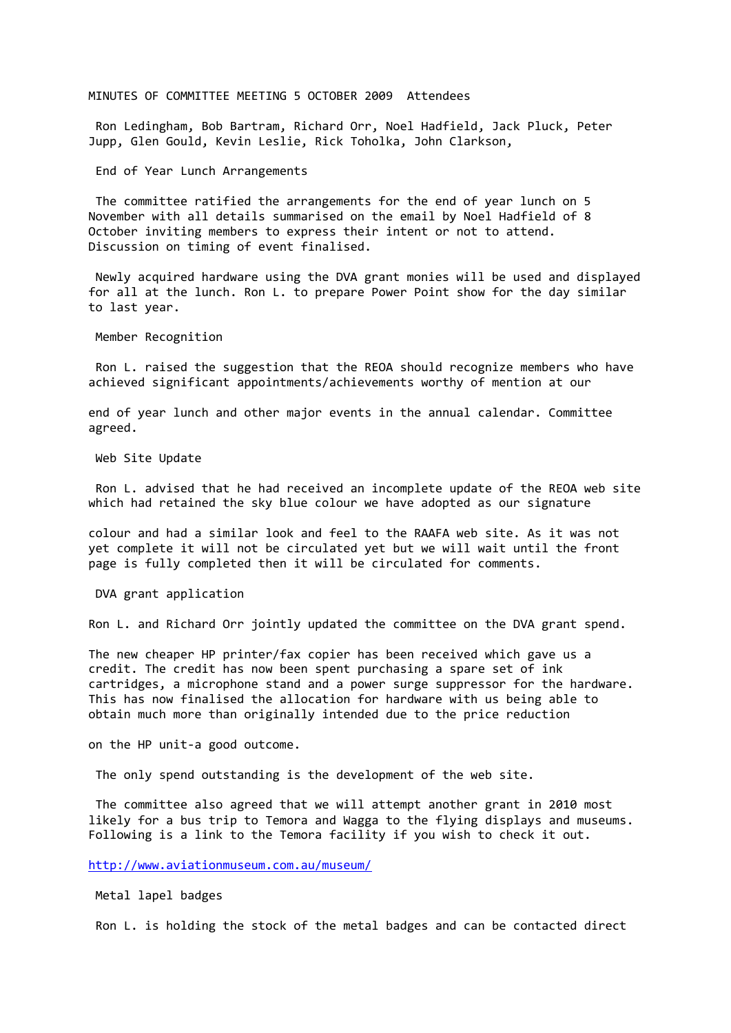## MINUTES OF COMMITTEE MEETING 5 OCTOBER 2009 Attendees

Ron Ledingham, Bob Bartram, Richard Orr, Noel Hadfield, Jack Pluck, Peter Jupp, Glen Gould, Kevin Leslie, Rick Toholka, John Clarkson,

End of Year Lunch Arrangements

The committee ratified the arrangements for the end of year lunch on 5 November with all details summarised on the email by Noel Hadfield of 8 October inviting members to express their intent or not to attend. Discussion on timing of event finalised.

Newly acquired hardware using the DVA grant monies will be used and displayed for all at the lunch. Ron L. to prepare Power Point show for the day similar to last year.

Member Recognition

Ron L. raised the suggestion that the REOA should recognize members who have achieved significant appointments/achievements worthy of mention at our

end of year lunch and other major events in the annual calendar. Committee agreed.

Web Site Update

Ron L. advised that he had received an incomplete update of the REOA web site which had retained the sky blue colour we have adopted as our signature

colour and had a similar look and feel to the RAAFA web site. As it was not yet complete it will not be circulated yet but we will wait until the front page is fully completed then it will be circulated for comments.

DVA grant application

Ron L. and Richard Orr jointly updated the committee on the DVA grant spend.

The new cheaper HP printer/fax copier has been received which gave us a credit. The credit has now been spent purchasing a spare set of ink cartridges, a microphone stand and a power surge suppressor for the hardware. This has now finalised the allocation for hardware with us being able to obtain much more than originally intended due to the price reduction

on the HP unit-a good outcome.

The only spend outstanding is the development of the web site.

The committee also agreed that we will attempt another grant in 2010 most likely for a bus trip to Temora and Wagga to the flying displays and museums. Following is a link to the Temora facility if you wish to check it out.

<http://www.aviationmuseum.com.au/museum/>

Metal lapel badges

Ron L. is holding the stock of the metal badges and can be contacted direct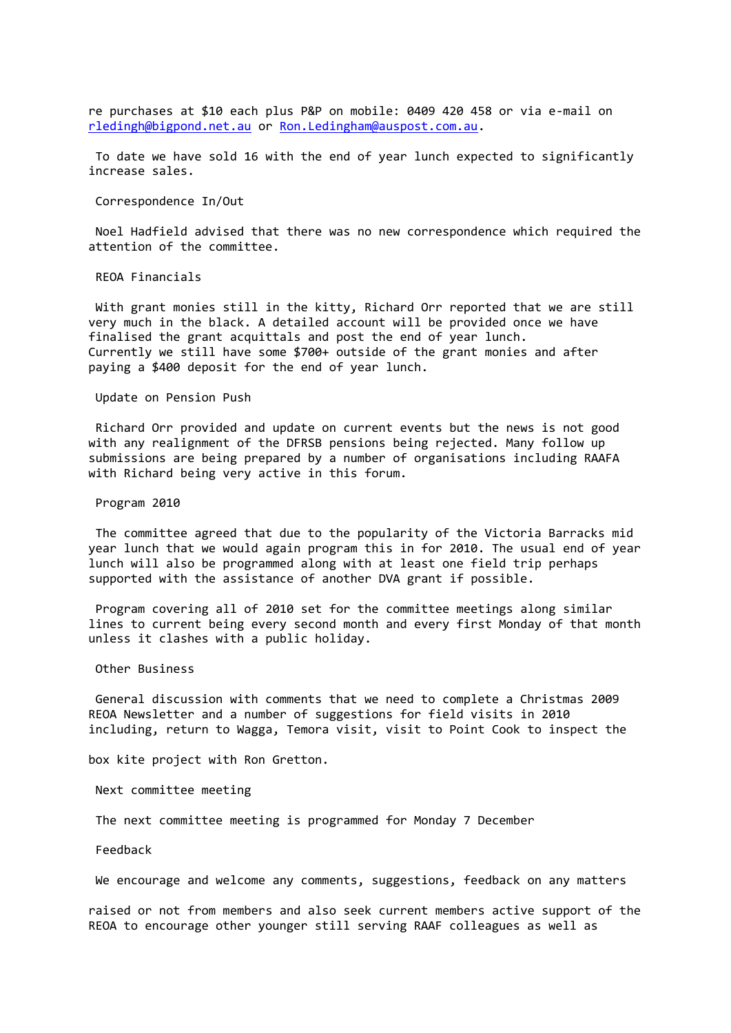re purchases at \$10 each plus P&P on mobile: 0409 420 458 or via e-mail on [rledingh@bigpond.net.au](mailto:rledingh@bigpond.net.au) or [Ron.Ledingham@auspost.com.au.](mailto:Ron.Ledingham@auspost.com.au)

To date we have sold 16 with the end of year lunch expected to significantly increase sales.

Correspondence In/Out

Noel Hadfield advised that there was no new correspondence which required the attention of the committee.

REOA Financials

With grant monies still in the kitty, Richard Orr reported that we are still very much in the black. A detailed account will be provided once we have finalised the grant acquittals and post the end of year lunch. Currently we still have some \$700+ outside of the grant monies and after paying a \$400 deposit for the end of year lunch.

Update on Pension Push

Richard Orr provided and update on current events but the news is not good with any realignment of the DFRSB pensions being rejected. Many follow up submissions are being prepared by a number of organisations including RAAFA with Richard being very active in this forum.

Program 2010

The committee agreed that due to the popularity of the Victoria Barracks mid year lunch that we would again program this in for 2010. The usual end of year lunch will also be programmed along with at least one field trip perhaps supported with the assistance of another DVA grant if possible.

Program covering all of 2010 set for the committee meetings along similar lines to current being every second month and every first Monday of that month unless it clashes with a public holiday.

Other Business

General discussion with comments that we need to complete a Christmas 2009 REOA Newsletter and a number of suggestions for field visits in 2010 including, return to Wagga, Temora visit, visit to Point Cook to inspect the

box kite project with Ron Gretton.

Next committee meeting

The next committee meeting is programmed for Monday 7 December

Feedback

We encourage and welcome any comments, suggestions, feedback on any matters

raised or not from members and also seek current members active support of the REOA to encourage other younger still serving RAAF colleagues as well as